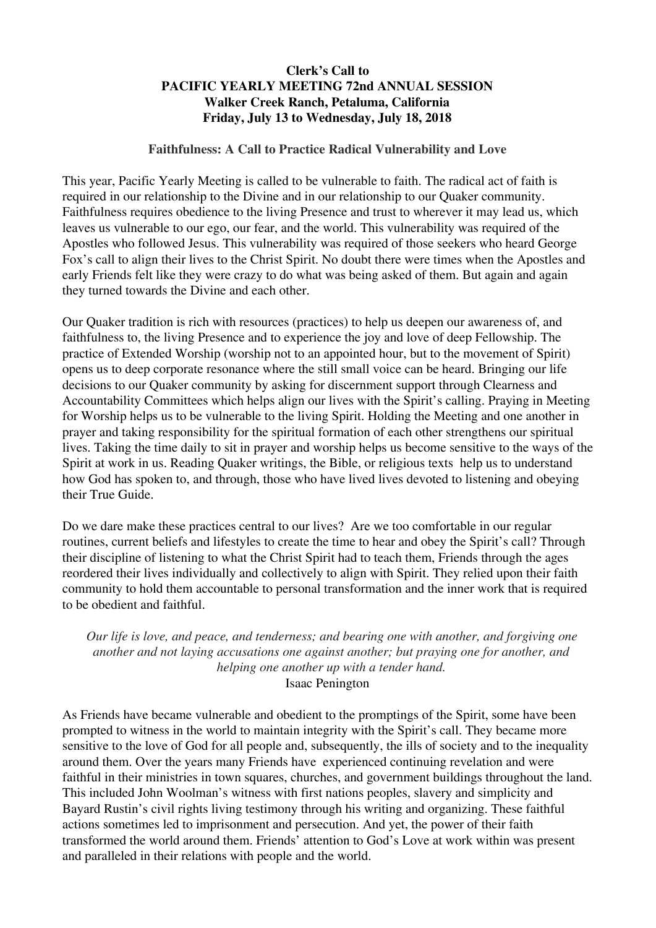## **Clerk's Call to PACIFIC YEARLY MEETING 72nd ANNUAL SESSION Walker Creek Ranch, Petaluma, California Friday, July 13 to Wednesday, July 18, 2018**

## **Faithfulness: A Call to Practice Radical Vulnerability and Love**

This year, Pacific Yearly Meeting is called to be vulnerable to faith. The radical act of faith is required in our relationship to the Divine and in our relationship to our Quaker community. Faithfulness requires obedience to the living Presence and trust to wherever it may lead us, which leaves us vulnerable to our ego, our fear, and the world. This vulnerability was required of the Apostles who followed Jesus. This vulnerability was required of those seekers who heard George Fox's call to align their lives to the Christ Spirit. No doubt there were times when the Apostles and early Friends felt like they were crazy to do what was being asked of them. But again and again they turned towards the Divine and each other.

Our Quaker tradition is rich with resources (practices) to help us deepen our awareness of, and faithfulness to, the living Presence and to experience the joy and love of deep Fellowship. The practice of Extended Worship (worship not to an appointed hour, but to the movement of Spirit) opens us to deep corporate resonance where the still small voice can be heard. Bringing our life decisions to our Quaker community by asking for discernment support through Clearness and Accountability Committees which helps align our lives with the Spirit's calling. Praying in Meeting for Worship helps us to be vulnerable to the living Spirit. Holding the Meeting and one another in prayer and taking responsibility for the spiritual formation of each other strengthens our spiritual lives. Taking the time daily to sit in prayer and worship helps us become sensitive to the ways of the Spirit at work in us. Reading Quaker writings, the Bible, or religious texts help us to understand how God has spoken to, and through, those who have lived lives devoted to listening and obeying their True Guide.

Do we dare make these practices central to our lives? Are we too comfortable in our regular routines, current beliefs and lifestyles to create the time to hear and obey the Spirit's call? Through their discipline of listening to what the Christ Spirit had to teach them, Friends through the ages reordered their lives individually and collectively to align with Spirit. They relied upon their faith community to hold them accountable to personal transformation and the inner work that is required to be obedient and faithful.

*Our life is love, and peace, and tenderness; and bearing one with another, and forgiving one another and not laying accusations one against another; but praying one for another, and helping one another up with a tender hand.* Isaac Penington

As Friends have became vulnerable and obedient to the promptings of the Spirit, some have been prompted to witness in the world to maintain integrity with the Spirit's call. They became more sensitive to the love of God for all people and, subsequently, the ills of society and to the inequality around them. Over the years many Friends have experienced continuing revelation and were faithful in their ministries in town squares, churches, and government buildings throughout the land. This included John Woolman's witness with first nations peoples, slavery and simplicity and Bayard Rustin's civil rights living testimony through his writing and organizing. These faithful actions sometimes led to imprisonment and persecution. And yet, the power of their faith transformed the world around them. Friends' attention to God's Love at work within was present and paralleled in their relations with people and the world.